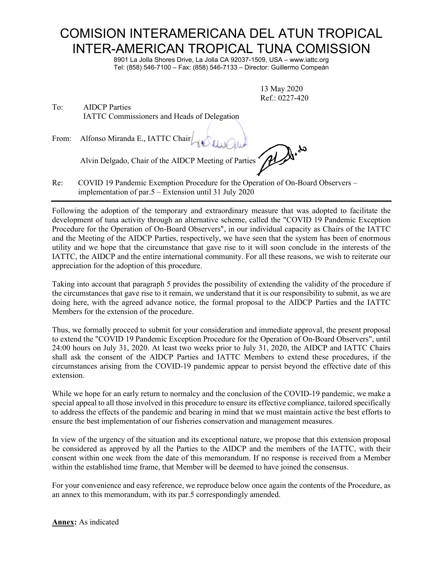## COMISION INTERAMERICANA DEL ATUN TROPICAL INTER-AMERICAN TROPICAL TUNA COMISSION

8901 La Jolla Shores Drive, La Jolla CA 92037-1509, USA – www.iattc.org Tel: (858) 546-7100 – Fax: (858) 546-7133 – Director: Guillermo Compeán

> 13 May 2020 Ref.: 0227-420

| To: | <b>AIDCP</b> Parties                               |  |
|-----|----------------------------------------------------|--|
|     | <b>IATTC Commissioners and Heads of Delegation</b> |  |

From: Alfonso Miranda E., IATTC Chair

Alvin Delgado, Chair of the AIDCP Meeting of Parties

Re: COVID 19 Pandemic Exemption Procedure for the Operation of On-Board Observers – implementation of par.5 – Extension until 31 July 2020

Following the adoption of the temporary and extraordinary measure that was adopted to facilitate the development of tuna activity through an alternative scheme, called the "COVID 19 Pandemic Exception Procedure for the Operation of On-Board Observers", in our individual capacity as Chairs of the IATTC and the Meeting of the AIDCP Parties, respectively, we have seen that the system has been of enormous utility and we hope that the circumstance that gave rise to it will soon conclude in the interests of the IATTC, the AIDCP and the entire international community. For all these reasons, we wish to reiterate our appreciation for the adoption of this procedure.

Taking into account that paragraph 5 provides the possibility of extending the validity of the procedure if the circumstances that gave rise to it remain, we understand that it is our responsibility to submit, as we are doing here, with the agreed advance notice, the formal proposal to the AIDCP Parties and the IATTC Members for the extension of the procedure.

Thus, we formally proceed to submit for your consideration and immediate approval, the present proposal to extend the "COVID 19 Pandemic Exception Procedure for the Operation of On-Board Observers", until 24:00 hours on July 31, 2020. At least two weeks prior to July 31, 2020, the AIDCP and IATTC Chairs shall ask the consent of the AIDCP Parties and IATTC Members to extend these procedures, if the circumstances arising from the COVID-19 pandemic appear to persist beyond the effective date of this extension.

While we hope for an early return to normalcy and the conclusion of the COVID-19 pandemic, we make a special appeal to all those involved in this procedure to ensure its effective compliance, tailored specifically to address the effects of the pandemic and bearing in mind that we must maintain active the best efforts to ensure the best implementation of our fisheries conservation and management measures.

In view of the urgency of the situation and its exceptional nature, we propose that this extension proposal be considered as approved by all the Parties to the AIDCP and the members of the IATTC, with their consent within one week from the date of this memorandum. If no response is received from a Member within the established time frame, that Member will be deemed to have joined the consensus.

For your convenience and easy reference, we reproduce below once again the contents of the Procedure, as an annex to this memorandum, with its par.5 correspondingly amended.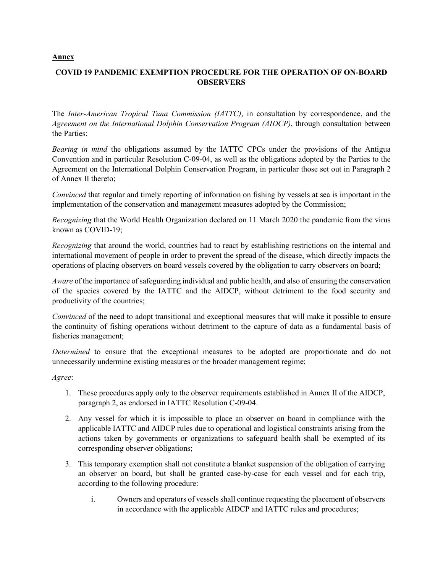## **Annex**

## **COVID 19 PANDEMIC EXEMPTION PROCEDURE FOR THE OPERATION OF ON-BOARD OBSERVERS**

The *Inter-American Tropical Tuna Commission (IATTC)*, in consultation by correspondence, and the *Agreement on the International Dolphin Conservation Program (AIDCP)*, through consultation between the Parties:

*Bearing in mind* the obligations assumed by the IATTC CPCs under the provisions of the Antigua Convention and in particular Resolution C-09-04, as well as the obligations adopted by the Parties to the Agreement on the International Dolphin Conservation Program, in particular those set out in Paragraph 2 of Annex II thereto;

*Convinced* that regular and timely reporting of information on fishing by vessels at sea is important in the implementation of the conservation and management measures adopted by the Commission;

*Recognizing* that the World Health Organization declared on 11 March 2020 the pandemic from the virus known as COVID-19;

*Recognizing* that around the world, countries had to react by establishing restrictions on the internal and international movement of people in order to prevent the spread of the disease, which directly impacts the operations of placing observers on board vessels covered by the obligation to carry observers on board;

*Aware* of the importance of safeguarding individual and public health, and also of ensuring the conservation of the species covered by the IATTC and the AIDCP, without detriment to the food security and productivity of the countries;

*Convinced* of the need to adopt transitional and exceptional measures that will make it possible to ensure the continuity of fishing operations without detriment to the capture of data as a fundamental basis of fisheries management;

*Determined* to ensure that the exceptional measures to be adopted are proportionate and do not unnecessarily undermine existing measures or the broader management regime;

*Agree*:

- 1. These procedures apply only to the observer requirements established in Annex II of the AIDCP, paragraph 2, as endorsed in IATTC Resolution C-09-04.
- 2. Any vessel for which it is impossible to place an observer on board in compliance with the applicable IATTC and AIDCP rules due to operational and logistical constraints arising from the actions taken by governments or organizations to safeguard health shall be exempted of its corresponding observer obligations;
- 3. This temporary exemption shall not constitute a blanket suspension of the obligation of carrying an observer on board, but shall be granted case-by-case for each vessel and for each trip, according to the following procedure:
	- i. Owners and operators of vessels shall continue requesting the placement of observers in accordance with the applicable AIDCP and IATTC rules and procedures;